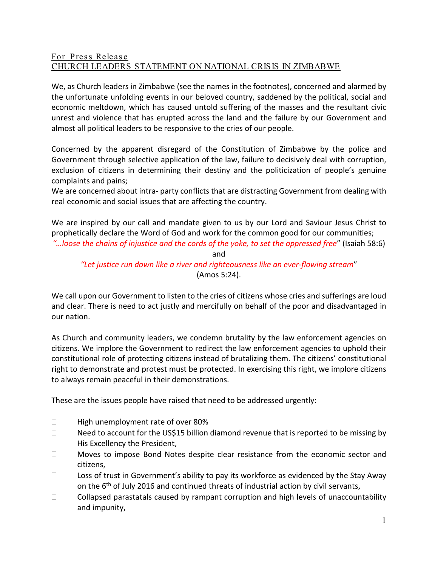## For Press Releas e CHURCH LEADERS STATEMENT ON NATIONAL CRISIS IN ZIMBABWE

We, as Church leaders in Zimbabwe (see the names in the footnotes), concerned and alarmed by the unfortunate unfolding events in our beloved country, saddened by the political, social and economic meltdown, which has caused untold suffering of the masses and the resultant civic unrest and violence that has erupted across the land and the failure by our Government and almost all political leaders to be responsive to the cries of our people.

Concerned by the apparent disregard of the Constitution of Zimbabwe by the police and Government through selective application of the law, failure to decisively deal with corruption, exclusion of citizens in determining their destiny and the politicization of people's genuine complaints and pains;

We are concerned about intra- party conflicts that are distracting Government from dealing with real economic and social issues that are affecting the country.

We are inspired by our call and mandate given to us by our Lord and Saviour Jesus Christ to prophetically declare the Word of God and work for the common good for our communities; *"…loose the chains of injustice and the cords of the yoke, to set the oppressed free*" (Isaiah 58:6)

and

*"Let justice run down like a river and righteousness like an ever-flowing stream*" (Amos 5:24).

We call upon our Government to listen to the cries of citizens whose cries and sufferings are loud and clear. There is need to act justly and mercifully on behalf of the poor and disadvantaged in our nation.

As Church and community leaders, we condemn brutality by the law enforcement agencies on citizens. We implore the Government to redirect the law enforcement agencies to uphold their constitutional role of protecting citizens instead of brutalizing them. The citizens' constitutional right to demonstrate and protest must be protected. In exercising this right, we implore citizens to always remain peaceful in their demonstrations.

These are the issues people have raised that need to be addressed urgently:

- $\Box$  High unemployment rate of over 80%
- $\Box$  Need to account for the US\$15 billion diamond revenue that is reported to be missing by His Excellency the President,
- $\Box$  Moves to impose Bond Notes despite clear resistance from the economic sector and citizens,
- $\Box$  Loss of trust in Government's ability to pay its workforce as evidenced by the Stay Away on the 6<sup>th</sup> of July 2016 and continued threats of industrial action by civil servants,
- $\Box$  Collapsed parastatals caused by rampant corruption and high levels of unaccountability and impunity,